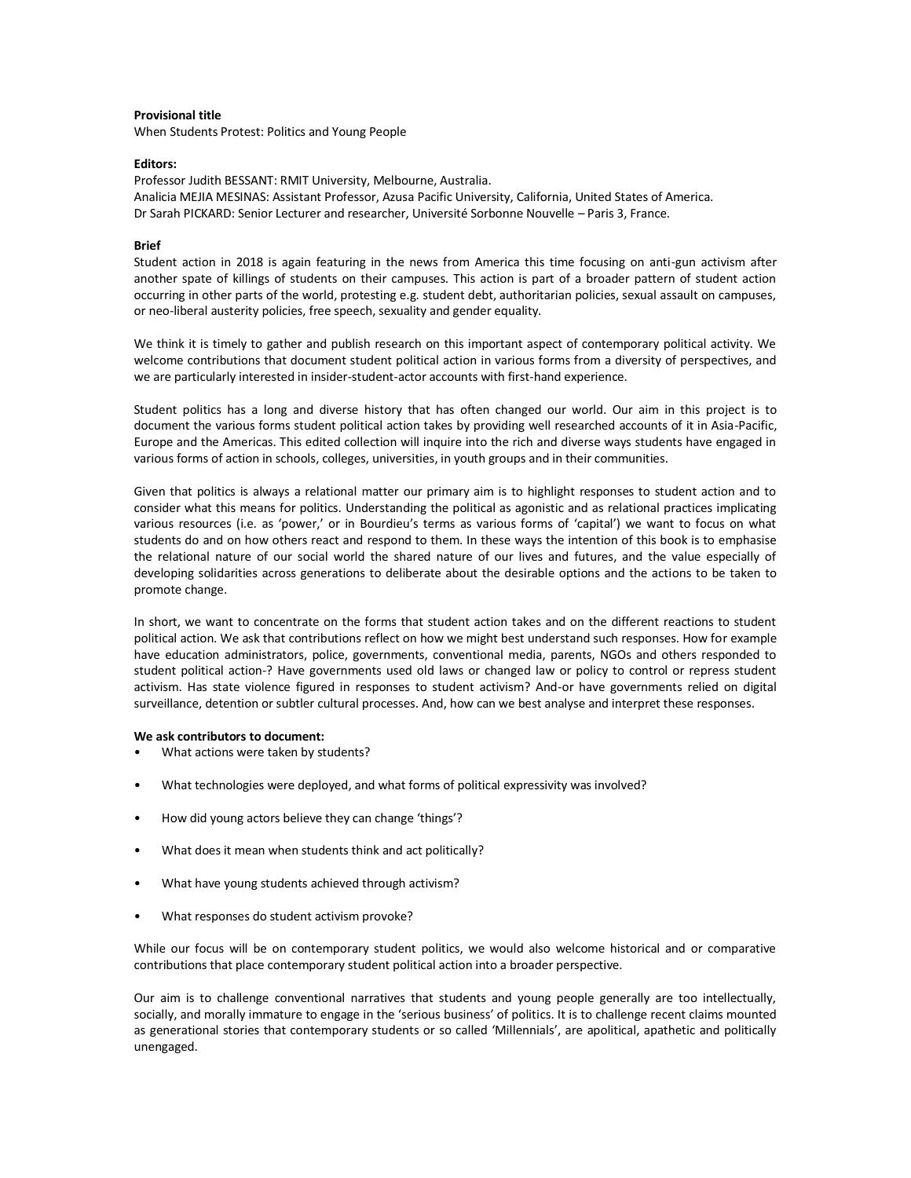## **Provisional title**

When Students Protest: Politics and Young People

### **Editors:**

Professor Judith BESSANT: RMIT University, Melbourne, Australia. Analicia MEJIA MESINAS: Assistant Professor, Azusa Pacific University, California, United States of America. Dr Sarah PICKARD: Senior Lecturer and researcher, Université Sorbonne Nouvelle – Paris 3, France.

## **Brief**

Student action in 2018 is again featuring in the news from America this time focusing on anti-gun activism after another spate of killings of students on their campuses. This action is part of a broader pattern of student action occurring in other parts of the world, protesting e.g. student debt, authoritarian policies, sexual assault on campuses, or neo-liberal austerity policies, free speech, sexuality and gender equality.

We think it is timely to gather and publish research on this important aspect of contemporary political activity. We welcome contributions that document student political action in various forms from a diversity of perspectives, and we are particularly interested in insider-student-actor accounts with first-hand experience.

Student politics has a long and diverse history that has often changed our world. Our aim in this project is to document the various forms student political action takes by providing well researched accounts of it in Asia-Pacific, Europe and the Americas. This edited collection will inquire into the rich and diverse ways students have engaged in various forms of action in schools, colleges, universities, in youth groups and in their communities.

Given that politics is always a relational matter our primary aim is to highlight responses to student action and to consider what this means for politics. Understanding the political as agonistic and as relational practices implicating various resources (i.e. as 'power,' or in Bourdieu's terms as various forms of 'capital') we want to focus on what students do and on how others react and respond to them. In these ways the intention of this book is to emphasise the relational nature of our social world the shared nature of our lives and futures, and the value especially of developing solidarities across generations to deliberate about the desirable options and the actions to be taken to promote change.

In short, we want to concentrate on the forms that student action takes and on the different reactions to student political action. We ask that contributions reflect on how we might best understand such responses. How for example have education administrators, police, governments, conventional media, parents, NGOs and others responded to student political action-? Have governments used old laws or changed law or policy to control or repress student activism. Has state violence figured in responses to student activism? And-or have governments relied on digital surveillance, detention or subtler cultural processes. And, how can we best analyse and interpret these responses.

# **We ask contributors to document:**

- What actions were taken by students?
- What technologies were deployed, and what forms of political expressivity was involved?
- How did young actors believe they can change 'things'?
- What does it mean when students think and act politically?
- What have young students achieved through activism?
- What responses do student activism provoke?

While our focus will be on contemporary student politics, we would also welcome historical and or comparative contributions that place contemporary student political action into a broader perspective.

Our aim is to challenge conventional narratives that students and young people generally are too intellectually, socially, and morally immature to engage in the 'serious business' of politics. It is to challenge recent claims mounted as generational stories that contemporary students or so called 'Millennials', are apolitical, apathetic and politically unengaged.